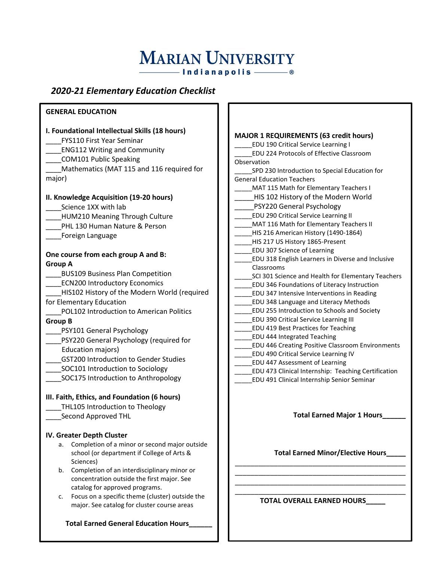## **MARIAN UNIVERSITY**  $-$ Indianapolis  $-$

## *2020-21 Elementary Education Checklist*

## **GENERAL EDUCATION**

### **I. Foundational Intellectual Skills (18 hours)** \_\_\_\_FYS110 First Year Seminar \_\_\_\_ENG112 Writing and Community \_\_\_\_COM101 Public Speaking Mathematics (MAT 115 and 116 required for major) **II. Knowledge Acquisition (19-20 hours)** Science 1XX with lab \_\_\_\_HUM210 Meaning Through Culture PHL 130 Human Nature & Person \_\_\_\_Foreign Language **One course from each group A and B: Group A** \_\_\_\_BUS109 Business Plan Competition ECN200 Introductory Economics HIS102 History of the Modern World (required for Elementary Education POL102 Introduction to American Politics **Group B** PSY101 General Psychology PSY220 General Psychology (required for Education majors) \_\_\_\_GST200 Introduction to Gender Studies SOC101 Introduction to Sociology SOC175 Introduction to Anthropology **III. Faith, Ethics, and Foundation (6 hours)** THL105 Introduction to Theology \_\_\_\_Second Approved THL **IV. Greater Depth Cluster** a. Completion of a minor or second major outside school (or department if College of Arts & Sciences) b. Completion of an interdisciplinary minor or concentration outside the first major. See catalog for approved programs. c. Focus on a specific theme (cluster) outside the major. See catalog for cluster course areas  **Total Earned General Education Hours\_\_\_\_\_\_ MAJOR 1 REQUIREMENTS (63 credit hours)** \_\_\_\_\_EDU 190 Critical Service Learning I \_\_\_\_\_EDU 224 Protocols of Effective Classroom Observation SPD 230 Introduction to Special Education for General Education Teachers MAT 115 Math for Elementary Teachers I HIS 102 History of the Modern World PSY220 General Psychology \_\_\_\_\_EDU 290 Critical Service Learning II MAT 116 Math for Elementary Teachers II HIS 216 American History (1490-1864) \_HIS 217 US History 1865-Present \_\_\_\_\_EDU 307 Science of Learning \_\_\_\_\_EDU 318 English Learners in Diverse and Inclusive Classrooms SCI 301 Science and Health for Elementary Teachers \_\_\_\_\_EDU 346 Foundations of Literacy Instruction \_\_\_\_\_EDU 347 Intensive Interventions in Reading \_\_\_\_\_EDU 348 Language and Literacy Methods \_\_\_\_\_EDU 255 Introduction to Schools and Society \_\_\_\_\_EDU 390 Critical Service Learning III \_\_\_\_\_EDU 419 Best Practices for Teaching \_\_\_\_\_EDU 444 Integrated Teaching \_\_\_\_\_EDU 446 Creating Positive Classroom Environments \_\_\_\_\_EDU 490 Critical Service Learning IV \_\_\_\_\_EDU 447 Assessment of Learning \_\_\_\_\_EDU 473 Clinical Internship: Teaching Certification \_\_\_\_\_EDU 491 Clinical Internship Senior Seminar **Total Earned Minor/Elective Hours\_\_\_\_\_** \_\_\_\_\_\_\_\_\_\_\_\_\_\_\_\_\_\_\_\_\_\_\_\_\_\_\_\_\_\_\_\_\_\_\_\_\_\_\_\_\_\_\_\_ \_\_\_\_\_\_\_\_\_\_\_\_\_\_\_\_\_\_\_\_\_\_\_\_\_\_\_\_\_\_\_\_\_\_\_\_\_\_\_\_\_\_\_\_ \_\_\_\_\_\_\_\_\_\_\_\_\_\_\_\_\_\_\_\_\_\_\_\_\_\_\_\_\_\_\_\_\_\_\_\_\_\_\_\_\_\_\_\_ \_\_\_\_\_\_\_\_\_\_\_\_\_\_\_\_\_\_\_\_\_\_\_\_\_\_\_\_\_\_\_\_\_\_\_\_\_\_\_\_\_\_\_\_ **TOTAL OVERALL EARNED HOURS\_\_\_\_\_**

**Total Earned Major 1 Hours\_\_\_\_\_\_**